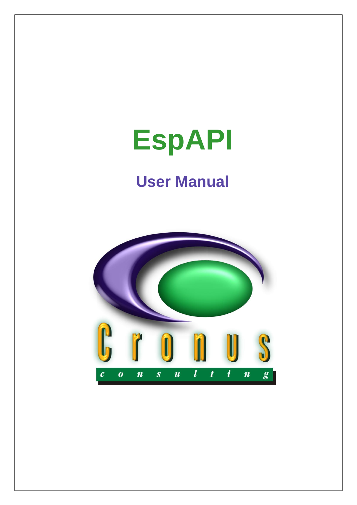# **EspAPI**

# **User Manual**

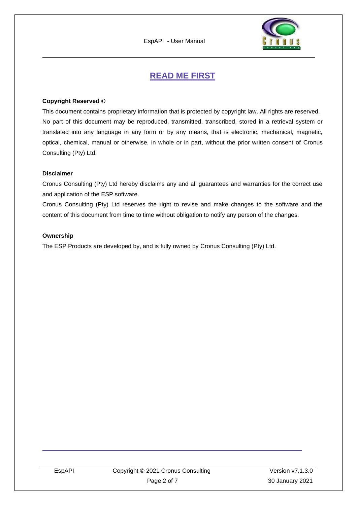

## **READ ME FIRST**

#### <span id="page-1-0"></span>**Copyright Reserved ©**

This document contains proprietary information that is protected by copyright law. All rights are reserved. No part of this document may be reproduced, transmitted, transcribed, stored in a retrieval system or translated into any language in any form or by any means, that is electronic, mechanical, magnetic, optical, chemical, manual or otherwise, in whole or in part, without the prior written consent of Cronus Consulting (Pty) Ltd.

#### **Disclaimer**

Cronus Consulting (Pty) Ltd hereby disclaims any and all guarantees and warranties for the correct use and application of the ESP software.

Cronus Consulting (Pty) Ltd reserves the right to revise and make changes to the software and the content of this document from time to time without obligation to notify any person of the changes.

#### **Ownership**

The ESP Products are developed by, and is fully owned by Cronus Consulting (Pty) Ltd.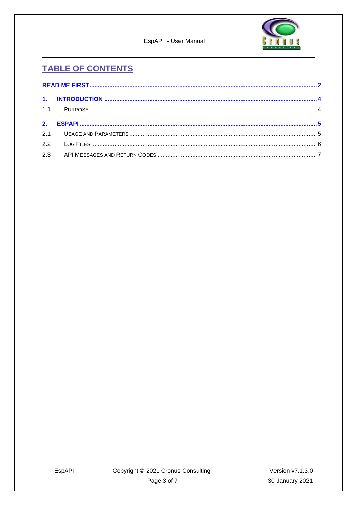

EspAPI - User Manual

# **TABLE OF CONTENTS**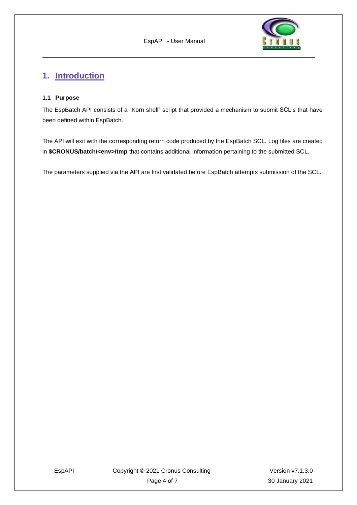

### <span id="page-3-0"></span>**1. Introduction**

#### <span id="page-3-1"></span>**1.1 Purpose**

The EspBatch API consists of a "Korn shell" script that provided a mechanism to submit SCL's that have been defined within EspBatch.

The API will exit with the corresponding return code produced by the EspBatch SCL. Log files are created in **\$CRONUS/batch/<env>/tmp** that contains additional information pertaining to the submitted SCL.

The parameters supplied via the API are first validated before EspBatch attempts submission of the SCL.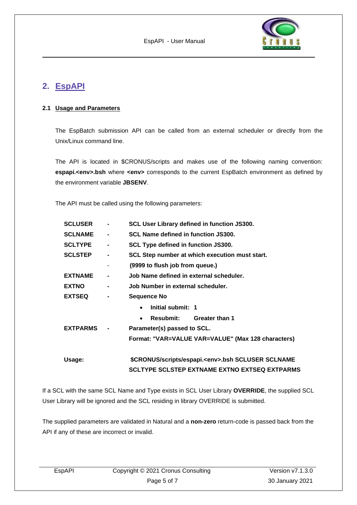

# <span id="page-4-0"></span>**2. EspAPI**

#### <span id="page-4-1"></span>**2.1 Usage and Parameters**

The EspBatch submission API can be called from an external scheduler or directly from the Unix/Linux command line.

The API is located in \$CRONUS/scripts and makes use of the following naming convention: **espapi.<env>.bsh** where **<env>** corresponds to the current EspBatch environment as defined by the environment variable **JBSENV**.

The API must be called using the following parameters:

| <b>SCLUSER</b>  |                | SCL User Library defined in function JS300.              |
|-----------------|----------------|----------------------------------------------------------|
| <b>SCLNAME</b>  | $\blacksquare$ | <b>SCL Name defined in function JS300.</b>               |
| <b>SCLTYPE</b>  | $\blacksquare$ | SCL Type defined in function JS300.                      |
| <b>SCLSTEP</b>  |                | SCL Step number at which execution must start.           |
|                 | ٠              | (9999 to flush job from queue.)                          |
| <b>EXTNAME</b>  |                | Job Name defined in external scheduler.                  |
| <b>EXTNO</b>    | $\blacksquare$ | Job Number in external scheduler.                        |
| <b>EXTSEQ</b>   |                | <b>Sequence No</b>                                       |
|                 |                | Initial submit: 1<br>$\bullet$                           |
|                 |                | <b>Resubmit:</b><br><b>Greater than 1</b><br>$\bullet$   |
| <b>EXTPARMS</b> |                | Parameter(s) passed to SCL.                              |
|                 |                | Format: "VAR=VALUE VAR=VALUE" (Max 128 characters)       |
| Usage:          |                | \$CRONUS/scripts/espapi. <env>.bsh SCLUSER SCLNAME</env> |
|                 |                | <b>SCLTYPE SCLSTEP EXTNAME EXTNO EXTSEQ EXTPARMS</b>     |

If a SCL with the same SCL Name and Type exists in SCL User Library **OVERRIDE**, the supplied SCL User Library will be ignored and the SCL residing in library OVERRIDE is submitted.

The supplied parameters are validated in Natural and a **non-zero** return-code is passed back from the API if any of these are incorrect or invalid.

| EspAPI | Copyright © 2021 Cronus Consulting | Version $v7.1.3.0$ |
|--------|------------------------------------|--------------------|
|        | Page 5 of 7                        | 30 January 2021    |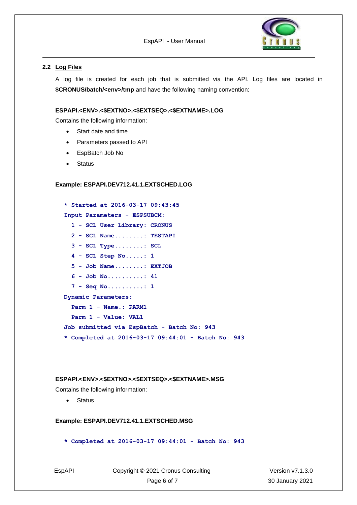

#### <span id="page-5-0"></span>**2.2 Log Files**

A log file is created for each job that is submitted via the API. Log files are located in **\$CRONUS/batch/<env>/tmp** and have the following naming convention:

#### **ESPAPI.<ENV>.<\$EXTNO>.<\$EXTSEQ>.<\$EXTNAME>.LOG**

Contains the following information:

- Start date and time
- Parameters passed to API
- EspBatch Job No
- **Status**

#### **Example: ESPAPI.DEV712.41.1.EXTSCHED.LOG**

```
* Started at 2016-03-17 09:43:45
Input Parameters - ESPSUBCM:
   1 - SCL User Library: CRONUS
   2 - SCL Name........: TESTAPI
   3 - SCL Type........: SCL
   4 - SCL Step No.....: 1
   5 - Job Name........: EXTJOB
   6 - Job No..........: 41
   7 - Seq No..........: 1
Dynamic Parameters:
   Parm 1 - Name.: PARM1
   Parm 1 - Value: VAL1
Job submitted via EspBatch - Batch No: 943
* Completed at 2016-03-17 09:44:01 - Batch No: 943
```
#### **ESPAPI.<ENV>.<\$EXTNO>.<\$EXTSEQ>.<\$EXTNAME>.MSG**

Contains the following information:

• Status

#### **Example: ESPAPI.DEV712.41.1.EXTSCHED.MSG**

**\* Completed at 2016-03-17 09:44:01 - Batch No: 943**

|--|